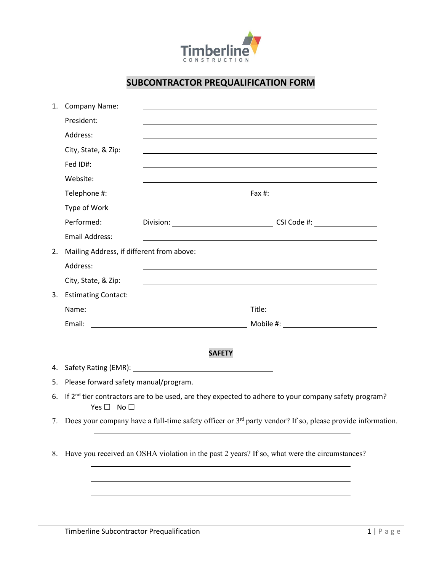

## **SUBCONTRACTOR PREQUALIFICATION FORM**

| <b>Company Name:</b><br>1.                                                                                                                | and the control of the control of the control of the control of the control of the control of the control of the     |                                                                                                                                              |  |  |  |
|-------------------------------------------------------------------------------------------------------------------------------------------|----------------------------------------------------------------------------------------------------------------------|----------------------------------------------------------------------------------------------------------------------------------------------|--|--|--|
| President:                                                                                                                                |                                                                                                                      |                                                                                                                                              |  |  |  |
| Address:                                                                                                                                  |                                                                                                                      |                                                                                                                                              |  |  |  |
| City, State, & Zip:                                                                                                                       |                                                                                                                      |                                                                                                                                              |  |  |  |
| Fed ID#:                                                                                                                                  |                                                                                                                      |                                                                                                                                              |  |  |  |
| Website:                                                                                                                                  |                                                                                                                      |                                                                                                                                              |  |  |  |
| Telephone #:                                                                                                                              |                                                                                                                      |                                                                                                                                              |  |  |  |
| Type of Work                                                                                                                              |                                                                                                                      |                                                                                                                                              |  |  |  |
| Performed:                                                                                                                                |                                                                                                                      |                                                                                                                                              |  |  |  |
| <b>Email Address:</b>                                                                                                                     |                                                                                                                      |                                                                                                                                              |  |  |  |
|                                                                                                                                           |                                                                                                                      |                                                                                                                                              |  |  |  |
| Address:                                                                                                                                  | and the control of the control of the control of the control of the control of the control of the control of the     |                                                                                                                                              |  |  |  |
| City, State, & Zip:                                                                                                                       | <u> 1989 - Johann John Stone, markin film yn y brening yn y brening yn y brening y brening yn y brening yn y bre</u> |                                                                                                                                              |  |  |  |
| 3. Estimating Contact:                                                                                                                    |                                                                                                                      |                                                                                                                                              |  |  |  |
|                                                                                                                                           |                                                                                                                      |                                                                                                                                              |  |  |  |
| Email:                                                                                                                                    |                                                                                                                      |                                                                                                                                              |  |  |  |
|                                                                                                                                           |                                                                                                                      |                                                                                                                                              |  |  |  |
|                                                                                                                                           | <b>SAFETY</b>                                                                                                        |                                                                                                                                              |  |  |  |
|                                                                                                                                           |                                                                                                                      |                                                                                                                                              |  |  |  |
| Please forward safety manual/program.<br>5.                                                                                               |                                                                                                                      |                                                                                                                                              |  |  |  |
| If $2nd$ tier contractors are to be used, are they expected to adhere to your company safety program?<br>6.<br>Yes $\square$ No $\square$ |                                                                                                                      |                                                                                                                                              |  |  |  |
| 7. Does your company have a full-time safety officer or 3 <sup>rd</sup> party vendor? If so, please provide information.                  |                                                                                                                      |                                                                                                                                              |  |  |  |
|                                                                                                                                           |                                                                                                                      |                                                                                                                                              |  |  |  |
|                                                                                                                                           |                                                                                                                      | Mailing Address, if different from above:<br>8. Have you received an OSHA violation in the past 2 years? If so, what were the circumstances? |  |  |  |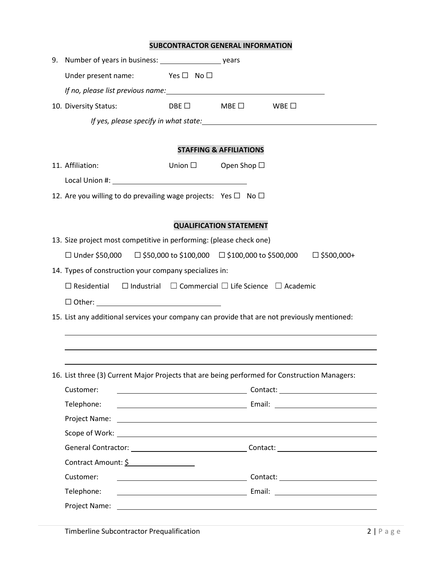## **SUBCONTRACTOR GENERAL INFORMATION**

| Under present name: $\blacksquare$ Yes $\square$ No $\square$                                      |                 |                                  |  |  |  |  |  |  |  |  |
|----------------------------------------------------------------------------------------------------|-----------------|----------------------------------|--|--|--|--|--|--|--|--|
|                                                                                                    |                 |                                  |  |  |  |  |  |  |  |  |
| 10. Diversity Status:                                                                              |                 | $DBE \Box$ MBE $\Box$ WBE $\Box$ |  |  |  |  |  |  |  |  |
|                                                                                                    |                 |                                  |  |  |  |  |  |  |  |  |
|                                                                                                    |                 |                                  |  |  |  |  |  |  |  |  |
| <b>STAFFING &amp; AFFILIATIONS</b>                                                                 |                 |                                  |  |  |  |  |  |  |  |  |
| 11. Affiliation:                                                                                   | Union $\square$ | Open Shop $\Box$                 |  |  |  |  |  |  |  |  |
|                                                                                                    |                 |                                  |  |  |  |  |  |  |  |  |
| 12. Are you willing to do prevailing wage projects: Yes $\square$ No $\square$                     |                 |                                  |  |  |  |  |  |  |  |  |
|                                                                                                    |                 |                                  |  |  |  |  |  |  |  |  |
|                                                                                                    |                 | <b>QUALIFICATION STATEMENT</b>   |  |  |  |  |  |  |  |  |
| 13. Size project most competitive in performing: (please check one)                                |                 |                                  |  |  |  |  |  |  |  |  |
| $\Box$ Under \$50,000 $\Box$ \$50,000 to \$100,000 $\Box$ \$100,000 to \$500,000 $\Box$ \$500,000+ |                 |                                  |  |  |  |  |  |  |  |  |
| 14. Types of construction your company specializes in:                                             |                 |                                  |  |  |  |  |  |  |  |  |
| $\Box$ Industrial $\Box$ Commercial $\Box$ Life Science $\Box$ Academic<br>$\Box$ Residential      |                 |                                  |  |  |  |  |  |  |  |  |
|                                                                                                    |                 |                                  |  |  |  |  |  |  |  |  |
| 15. List any additional services your company can provide that are not previously mentioned:       |                 |                                  |  |  |  |  |  |  |  |  |
|                                                                                                    |                 |                                  |  |  |  |  |  |  |  |  |
|                                                                                                    |                 |                                  |  |  |  |  |  |  |  |  |
|                                                                                                    |                 |                                  |  |  |  |  |  |  |  |  |
| 16. List three (3) Current Major Projects that are being performed for Construction Managers:      |                 |                                  |  |  |  |  |  |  |  |  |
| Customer:                                                                                          |                 |                                  |  |  |  |  |  |  |  |  |
| Telephone:                                                                                         |                 |                                  |  |  |  |  |  |  |  |  |
|                                                                                                    |                 |                                  |  |  |  |  |  |  |  |  |
|                                                                                                    |                 |                                  |  |  |  |  |  |  |  |  |
|                                                                                                    |                 |                                  |  |  |  |  |  |  |  |  |
| Contract Amount: \$                                                                                |                 |                                  |  |  |  |  |  |  |  |  |
| Customer:                                                                                          |                 |                                  |  |  |  |  |  |  |  |  |
| Telephone:                                                                                         |                 |                                  |  |  |  |  |  |  |  |  |
|                                                                                                    |                 |                                  |  |  |  |  |  |  |  |  |